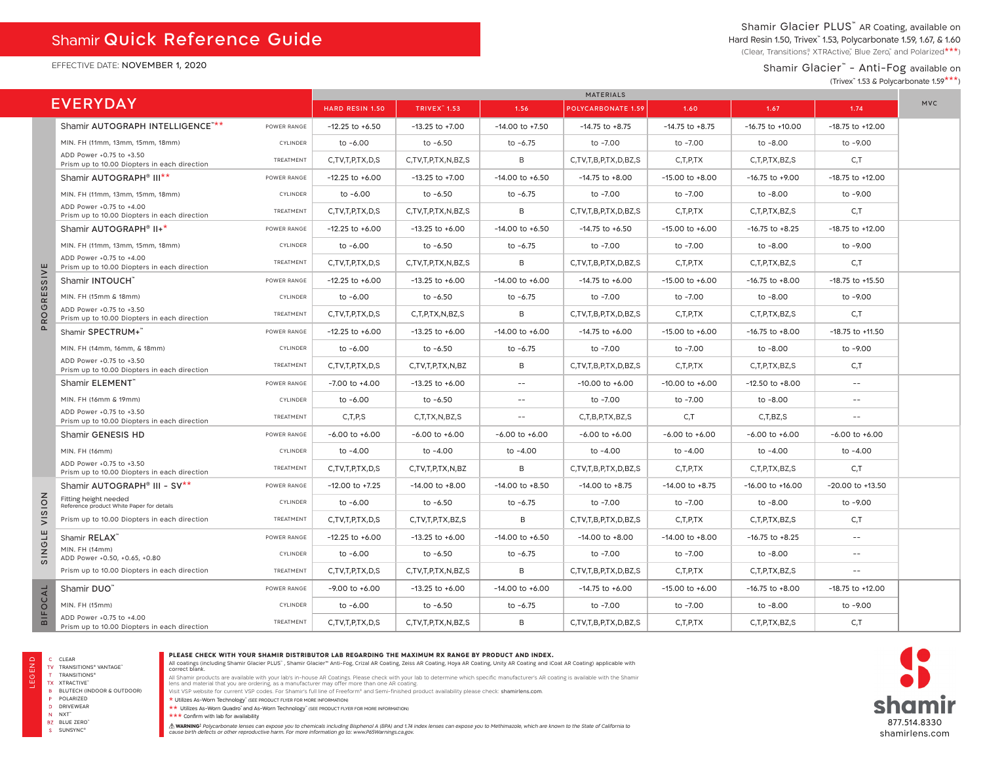## Shamir Quick Reference Guide

EFFECTIVE DATE: NOVEMBER 1, 2020

## Shamir Glacier PLUS<sup>™</sup> AR Coating, available on Hard Resin 1.50, Trivex<sup>™</sup> 1.53, Polycarbonate 1.59, 1.67, & 1.60

(Clear, Transitions®, XTRActive," Blue Zero," and Polarized\*\*\*)

## Shamir Glacier™ - Anti-Fog available on

(Trivex™ 1.53 & Polycarbonate 1.59\*\*\*)

|                     |                                                                          |                        | <b>MATERIALS</b>     |                     |                           |                      |                     |                      |                      |  |
|---------------------|--------------------------------------------------------------------------|------------------------|----------------------|---------------------|---------------------------|----------------------|---------------------|----------------------|----------------------|--|
|                     | <b>EVERYDAY</b>                                                          | <b>HARD RESIN 1.50</b> | <b>TRIVEX</b> " 1.53 | 1.56                | <b>POLYCARBONATE 1.59</b> | 1.60                 | 1.67                | 1.74                 | <b>MVC</b>           |  |
|                     | Shamir AUTOGRAPH INTELLIGENCE"**                                         | POWER RANGE            | $-12.25$ to $+6.50$  | $-13.25$ to $+7.00$ | $-14.00$ to $+7.50$       | $-14.75$ to $+8.75$  | $-14.75$ to $+8.75$ | $-16.75$ to $+10.00$ | $-18.75$ to $+12.00$ |  |
|                     | MIN. FH (11mm, 13mm, 15mm, 18mm)                                         | CYLINDER               | to -6.00             | $to -6.50$          | to $-6.75$                | to -7.00             | to -7.00            | to -8.00             | to -9.00             |  |
|                     | ADD Power +0.75 to +3.50<br>Prism up to 10.00 Diopters in each direction | TREATMENT              | C,TV,T,P,TX,D,S      | C,TV,T,P,TX,N,BZ,S  | B                         | C,TV,T,B,P,TX,D,BZ,S | C, T, P, TX         | C,T,P,TX,BZ,S        | C, T                 |  |
|                     | Shamir AUTOGRAPH <sup>®</sup> III <sup>**</sup>                          | POWER RANGE            | $-12.25$ to $+6.00$  | $-13.25$ to $+7.00$ | $-14.00$ to $+6.50$       | $-14.75$ to $+8.00$  | $-15.00$ to $+8.00$ | $-16.75$ to $+9.00$  | $-18.75$ to $+12.00$ |  |
|                     | MIN. FH (11mm, 13mm, 15mm, 18mm)                                         | CYLINDER               | to -6.00             | to -6.50            | to $-6.75$                | to -7.00             | to -7.00            | to -8.00             | to -9.00             |  |
|                     | ADD Power +0.75 to +4.00<br>Prism up to 10.00 Diopters in each direction | TREATMENT              | C,TV,T,P,TX,D,S      | C,TV,T,P,TX,N,BZ,S  | B                         | C,TV,T,B,P,TX,D,BZ,S | C,T,P,TX            | C,T,P,TX,BZ,S        | C, T                 |  |
|                     | Shamir AUTOGRAPH <sup>®</sup> II+*                                       | POWER RANGE            | $-12.25$ to $+6.00$  | $-13.25$ to $+6.00$ | $-14.00$ to $+6.50$       | $-14.75$ to $+6.50$  | $-15.00$ to $+6.00$ | $-16.75$ to $+8.25$  | $-18.75$ to $+12.00$ |  |
|                     | MIN. FH (11mm, 13mm, 15mm, 18mm)                                         | CYLINDER               | to -6.00             | to -6.50            | to $-6.75$                | to -7.00             | to -7.00            | to -8.00             | to -9.00             |  |
|                     | ADD Power +0.75 to +4.00<br>Prism up to 10.00 Diopters in each direction | TREATMENT              | C,TV,T,P,TX,D,S      | C,TV,T,P,TX,N,BZ,S  | B                         | C,TV,T,B,P,TX,D,BZ,S | C, T, P, TX         | C,T,P,TX,BZ,S        | C,T                  |  |
| $rac{1}{s}$         | Shamir INTOUCH"                                                          | POWER RANGE            | $-12.25$ to $+6.00$  | $-13.25$ to $+6.00$ | $-14.00$ to $+6.00$       | $-14.75$ to $+6.00$  | $-15.00$ to $+6.00$ | $-16.75$ to $+8.00$  | $-18.75$ to $+15.50$ |  |
| $\omega$<br>E       | MIN. FH (15mm & 18mm)                                                    | CYLINDER               | to -6.00             | to -6.50            | to $-6.75$                | to -7.00             | to -7.00            | to -8.00             | to -9.00             |  |
| $\circ$<br>Ř        | ADD Power +0.75 to +3.50<br>Prism up to 10.00 Diopters in each direction | TREATMENT              | C,TV,T,P,TX,D,S      | C,T,P,TX,N,BZ,S     | B                         | C,TV,T,B,P,TX,D,BZ,S | C, T, P, TX         | C,T,P,TX,BZ,S        | C, T                 |  |
| $\mathbf{a}$        | Shamir SPECTRUM+                                                         | POWER RANGE            | $-12.25$ to $+6.00$  | $-13.25$ to $+6.00$ | $-14.00$ to $+6.00$       | $-14.75$ to $+6.00$  | $-15.00$ to $+6.00$ | $-16.75$ to $+8.00$  | $-18.75$ to $+11.50$ |  |
|                     | MIN. FH (14mm, 16mm, & 18mm)                                             | CYLINDER               | to -6.00             | to -6.50            | to $-6.75$                | to -7.00             | to -7.00            | to -8.00             | to -9.00             |  |
|                     | ADD Power +0.75 to +3.50<br>Prism up to 10.00 Diopters in each direction | TREATMENT              | C,TV,T,P,TX,D,S      | C,TV,T,P,TX,N,BZ    | B                         | C,TV,T,B,P,TX,D,BZ,S | C, T, P, TX         | C,T,P,TX,BZ,S        | C, T                 |  |
|                     | Shamir ELEMENT                                                           | POWER RANGE            | $-7.00$ to $+4.00$   | $-13.25$ to $+6.00$ | $- -$                     | $-10.00$ to $+6.00$  | $-10.00$ to $+6.00$ | $-12.50$ to $+8.00$  | $- -$                |  |
|                     | MIN. FH (16mm & 19mm)                                                    | CYLINDER               | to -6.00             | to -6.50            | $\sim$ $-$                | to -7.00             | to -7.00            | to -8.00             | $\sim$ $-$           |  |
|                     | ADD Power +0.75 to +3.50<br>Prism up to 10.00 Diopters in each direction | TREATMENT              | C.T.P.S              | C.T.TX.N.BZ.S       | $\sim$ $-$                | C.T.B.P.TX.BZ.S      | C.T                 | C.T.BZ.S             | $-$                  |  |
|                     | Shamir GENESIS HD                                                        | POWER RANGE            | $-6.00$ to $+6.00$   | $-6.00$ to $+6.00$  | $-6.00$ to $+6.00$        | $-6.00$ to $+6.00$   | $-6.00$ to $+6.00$  | $-6.00$ to $+6.00$   | $-6.00$ to $+6.00$   |  |
|                     | MIN. FH (16mm)                                                           | CYLINDER               | to -4.00             | to -4.00            | to -4.00                  | to -4.00             | to -4.00            | to -4.00             | to -4.00             |  |
|                     | ADD Power +0.75 to +3.50<br>Prism up to 10.00 Diopters in each direction | TREATMENT              | C,TV,T,P,TX,D,S      | C,TV,T,P,TX,N,BZ    | B                         | C,TV,T,B,P,TX,D,BZ,S | C, T, P, TX         | C,T,P,TX,BZ,S        | C,T                  |  |
|                     | Shamir AUTOGRAPH <sup>®</sup> III - SV <sup>**</sup>                     | POWER RANGE            | $-12.00$ to $+7.25$  | $-14.00$ to $+8.00$ | $-14.00$ to $+8.50$       | $-14.00$ to $+8.75$  | $-14.00$ to $+8.75$ | $-16.00$ to $+16.00$ | $-20.00$ to $+13.50$ |  |
| <b>NOIS</b>         | Fitting height needed<br>Reference product White Paper for details       | CYLINDER               | to -6.00             | to -6.50            | to $-6.75$                | to -7.00             | to -7.00            | to -8.00             | to -9.00             |  |
| $\overline{ }$      | Prism up to 10.00 Diopters in each direction                             | TREATMENT              | C,TV,T,P,TX,D,S      | C,TV,T,P,TX,BZ,S    | B                         | C,TV,T,B,P,TX,D,BZ,S | C, T, P, TX         | C,T,P,TX,BZ,S        | C, T                 |  |
| ш<br>┙              | Shamir RELAX"                                                            | POWER RANGE            | $-12.25$ to $+6.00$  | $-13.25$ to $+6.00$ | $-14.00$ to $+6.50$       | $-14.00$ to $+8.00$  | $-14.00$ to $+8.00$ | $-16.75$ to $+8.25$  | $\sim$ $-$           |  |
| O<br>$rac{Z}{20}$   | MIN. FH (14mm)<br>ADD Power +0.50, +0.65, +0.80                          | CYLINDER               | to -6.00             | to -6.50            | to $-6.75$                | to -7.00             | to -7.00            | to -8.00             | $\sim$ $-$           |  |
|                     | Prism up to 10.00 Diopters in each direction                             | TREATMENT              | C,TV,T,P,TX,D,S      | C,TV,T,P,TX,N,BZ,S  | B                         | C,TV,T,B,P,TX,D,BZ,S | C, T, P, TX         | C,T,P,TX,BZ,S        | $-$                  |  |
|                     | Shamir DUO"                                                              | POWER RANGE            | $-9.00$ to $+6.00$   | $-13.25$ to $+6.00$ | $-14.00$ to $+6.00$       | $-14.75$ to $+6.00$  | $-15.00$ to $+6.00$ | $-16.75$ to $+8.00$  | $-18.75$ to $+12.00$ |  |
| OCAL                | MIN. FH (15mm)                                                           | CYLINDER               | to -6.00             | $to -6.50$          | to $-6.75$                | to -7.00             | to -7.00            | to -8.00             | to -9.00             |  |
| 山<br>$\overline{a}$ | ADD Power +0.75 to +4.00<br>Prism up to 10.00 Diopters in each direction | TREATMENT              | C,TV,T,P,TX,D,S      | C,TV,T,P,TX,N,BZ,S  | B                         | C,TV,T,B,P,TX,D,BZ,S | C,T,P,TX            | C,T,P,TX,BZ,S        | C, T                 |  |

S SUNSYNC®

#### **PLEASE CHECK WITH YOUR SHAMIR DISTRIBUTOR LAB REGARDING THE MAXIMUM RX RANGE BY PRODUCT AND INDEX.**

All coatings (including Shamir Glacier PLUS™, Shamir Glacier™ Anti-Fog, Crizal AR Coating, Hova AR Coating, Unity AR Coating and iCoat AR Coating) applicable with<br>correct blank.

All Shamir products are available with your lab's in-house AR Coatings. Please check with your lab to determine which specific manufacturer's AR coating is available with the Shamir<br>Iens and material that you are ordering,

\* Utilizes As-Worn Technology™ (SEE PRODUCT FLYER FOR MORE INFORMATION)

\*\* Utilizes As-Worn Quadro™ and As-Worn Technology™ (SEE PRODUCT FLYER FOR MORE INFORMATION)

\*\*\* Confirm with lab for availability

.<br>A WARNING Polycarbonate lenses can expose you to chemicals including Bisphend A (BPA) and t74 index lenses can expose you to Methimazole, which are known to the State of California to<br>cause birth defects or other reprodu